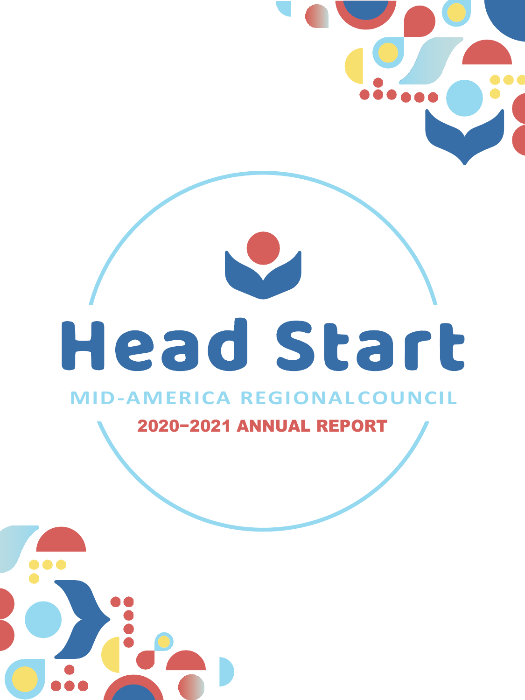# Head Start

#### **MID-AMERICA REGIONAL COUNCIL**

2020−2021 ANNUAL REPORT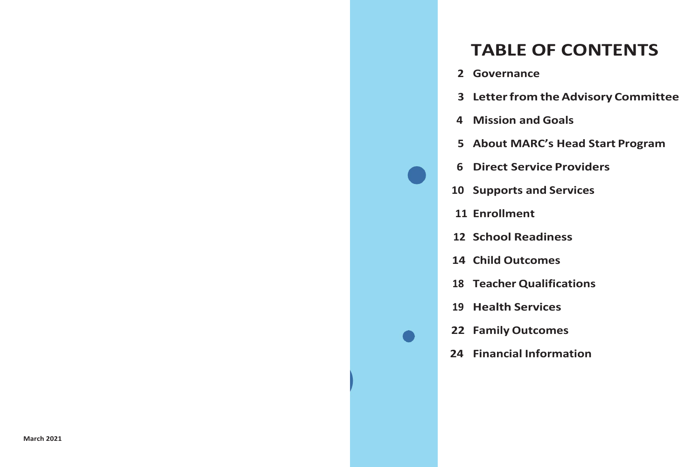# **TABLE OF CONTENTS**

- **Governance**
- **Letterfrom theAdvisory Committee**
- **Mission and Goals**
- **About MARC's Head Start Program**
- **Direct Service Providers**
- **Supports and Services**
- **Enrollment**
- **School Readiness**
- **Child Outcomes**
- **Teacher Qualifications**
- **Health Services**
- **Family Outcomes**

**<sup>1</sup>**

**Financial Information**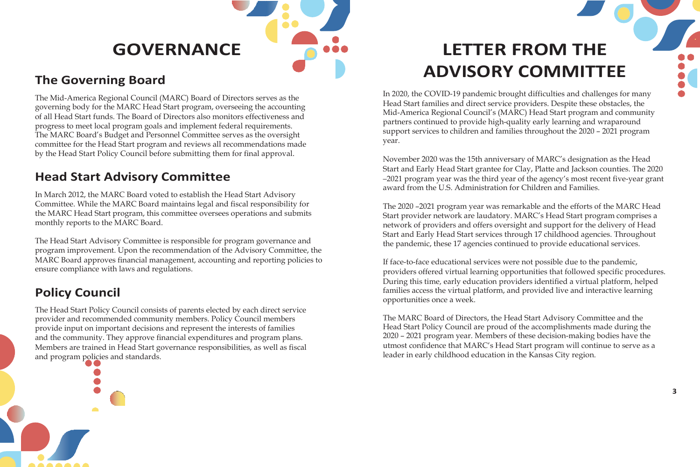

### **The Governing Board**

The Mid-America Regional Council (MARC) Board of Directors serves as the governing body for the MARC Head Start program, overseeing the accounting of all Head Start funds. The Board of Directors also monitors effectiveness and progress to meet local program goals and implement federal requirements. The MARC Board's Budget and Personnel Committee serves as the oversight committee for the Head Start program and reviews all recommendations made by the Head Start Policy Council before submitting them for final approval.

### **Head Start Advisory Committee**

In March 2012, the MARC Board voted to establish the Head Start Advisory Committee. While the MARC Board maintains legal and fiscal responsibility for the MARC Head Start program, this committee oversees operations and submits monthly reports to the MARC Board.

The Head Start Advisory Committee is responsible for program governance and program improvement. Upon the recommendation of the Advisory Committee, the MARC Board approves financial management, accounting and reporting policies to ensure compliance with laws and regulations.

### **Policy Council**

The Head Start Policy Council consists of parents elected by each direct service provider and recommended community members. Policy Council members provide input on important decisions and represent the interests of families and the community. They approve financial expenditures and program plans. Members are trained in Head Start governance responsibilities, as well as fiscal and program policies and standards.

# **GOVERNANCE LETTER FROM THE ADVISORY COMMITTEE**

In 2020, the COVID-19 pandemic brought difficulties and challenges for many Head Start families and direct service providers. Despite these obstacles, the Mid-America Regional Council's (MARC) Head Start program and community partners continued to provide high-quality early learning and wraparound support services to children and families throughout the 2020 – 2021 program year.

November 2020 was the 15th anniversary of MARC's designation as the Head Start and Early Head Start grantee for Clay, Platte and Jackson counties. The 2020 –2021 program year was the third year of the agency's most recent five-year grant award from the U.S. Administration for Children and Families.

The 2020 –2021 program year was remarkable and the efforts of the MARC Head Start provider network are laudatory. MARC's Head Start program comprises a network of providers and offers oversight and support for the delivery of Head Start and Early Head Start services through 17 childhood agencies. Throughout the pandemic, these 17 agencies continued to provide educational services.

If face-to-face educational services were not possible due to the pandemic, providers offered virtual learning opportunities that followed specific procedures. During this time, early education providers identified a virtual platform, helped families access the virtual platform, and provided live and interactive learning opportunities once a week.

The MARC Board of Directors, the Head Start Advisory Committee and the Head Start Policy Council are proud of the accomplishments made during the 2020 – 2021 program year. Members of these decision-making bodies have the utmost confidence that MARC's Head Start program will continue to serve as a leader in early childhood education in the Kansas City region.

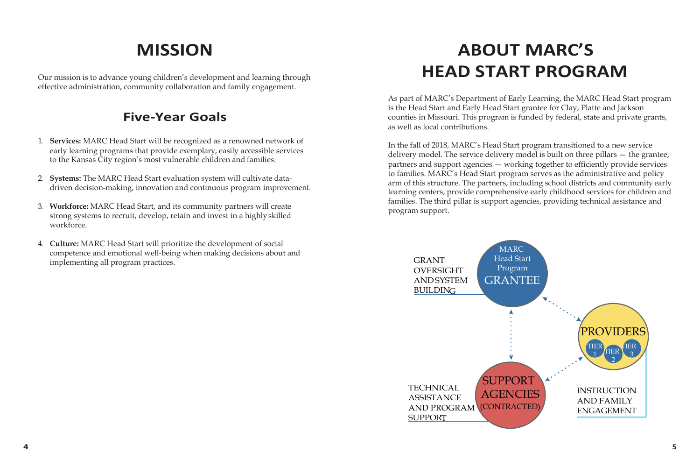# **MISSION**

Our mission is to advance young children's development and learning through effective administration, community collaboration and family engagement.

#### **Five-Year Goals**

- 1. **Services:** MARC Head Start will be recognized as a renowned network of early learning programs that provide exemplary, easily accessible services to the Kansas City region's most vulnerable children and families.
- 2. **Systems:** The MARC Head Start evaluation system will cultivate datadriven decision-making, innovation and continuous program improvement.
- 3. **Workforce:** MARC Head Start, and its community partners will create strong systems to recruit, develop, retain and invest in a highly skilled workforce.
- 4. **Culture:** MARC Head Start will prioritize the development of social competence and emotional well-being when making decisions about and implementing all program practices.

# **ABOUT MARC'S HEAD START PROGRAM**

As part of MARC's Department of Early Learning, the MARC Head Start program is the Head Start and Early Head Start grantee for Clay, Platte and Jackson counties in Missouri. This program is funded by federal, state and private grants, as well as local contributions.

In the fall of 2018, MARC's Head Start program transitioned to a new service delivery model. The service delivery model is built on three pillars — the grantee, partners and support agencies — working together to efficiently provide services to families. MARC's Head Start program serves as the administrative and policy arm of this structure. The partners, including school districts and community early learning centers, provide comprehensive early childhood services for children and families. The third pillar is support agencies, providing technical assistance and program support.

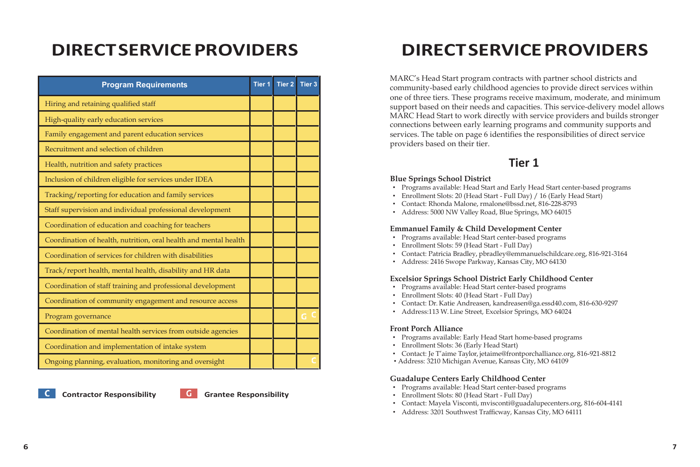| <b>Program Requirements</b>                                      | <b>Tier 1</b> | <b>Tier 2</b> | <b>Tier 3</b> |
|------------------------------------------------------------------|---------------|---------------|---------------|
| Hiring and retaining qualified staff                             |               |               |               |
| High-quality early education services                            |               |               |               |
| Family engagement and parent education services                  |               |               |               |
| Recruitment and selection of children                            |               |               |               |
| Health, nutrition and safety practices                           |               |               |               |
| Inclusion of children eligible for services under IDEA           |               |               |               |
| Tracking/reporting for education and family services             |               |               |               |
| Staff supervision and individual professional development        |               |               |               |
| Coordination of education and coaching for teachers              |               |               |               |
| Coordination of health, nutrition, oral health and mental health |               |               |               |
| Coordination of services for children with disabilities          |               |               |               |
| Track/report health, mental health, disability and HR data       |               |               |               |
| Coordination of staff training and professional development      |               |               |               |
| Coordination of community engagement and resource access         |               |               |               |
| Program governance                                               |               |               |               |
| Coordination of mental health services from outside agencies     |               |               |               |
| Coordination and implementation of intake system                 |               |               |               |
| Ongoing planning, evaluation, monitoring and oversight           |               |               |               |

**Contractor Responsibility Grantee Responsibility**

# **DIRECTSERVICEPROVIDERS DIRECTSERVICEPROVIDERS**

MARC's Head Start program contracts with partner school districts and community-based early childhood agencies to provide direct services within one of three tiers. These programs receive maximum, moderate, and minimum support based on their needs and capacities. This service-delivery model allows MARC Head Start to work directly with service providers and builds stronger connections between early learning programs and community supports and services. The table on page 6 identifies the responsibilities of direct service providers based on their tier.

#### **Tier 1**

#### **Blue Springs School District**

- Programs available: Head Start and Early Head Start center-based programs
- Enrollment Slots: 20 (Head Start Full Day) / 16 (Early Head Start)
- [Contact: Rhonda Malone, rmalone@bssd.net, 8](mailto:rmalone@bssd.net)16-228-8793
- Address: 5000 NW Valley Road, Blue Springs, MO 64015

#### **Emmanuel Family & Child Development Center**

- Programs available: Head Start center-based programs
- Enrollment Slots: 59 (Head Start Full Day)
- Contact: Patricia Bradley, [pbradley@emmanuelschildcare.org, 8](mailto:pbradley@emmanuelschildcare.org)16-921-3164
- Address: 2416 Swope Parkway, Kansas City, MO 64130

#### **Excelsior Springs School District Early Childhood Center**

- Programs available: Head Start center-based programs
- Enrollment Slots: 40 (Head Start Full Day)
- Contact: Dr. Katie Andreasen, [kandreasen@ga.essd40.com,](mailto:kandreasen@ga.essd40.com) 816-630-9297
- Address:113 W. Line Street, Excelsior Springs, MO 64024

#### **Front Porch Alliance**

- Programs available: Early Head Start home-based programs
- Enrollment Slots: 36 (Early Head Start)
- Contact: Je T'aime Taylo[r, jetaime@frontporchalliance.org, 8](mailto:jetaime@frontporchalliance.org)16-921-8812
- Address: 3210 Michigan Avenue, Kansas City, MO 64109

#### **Guadalupe Centers Early Childhood Center**

- Programs available: Head Start center-based programs
- Enrollment Slots: 80 (Head Start Full Day)
- Contact: Mayela [Visconti, mvisconti@guadalupecenters.org, 8](mailto:mvisconti@guadalupecenters.org)16-604-4141
- Address: 3201 Southwest Trafficway, Kansas City, MO 64111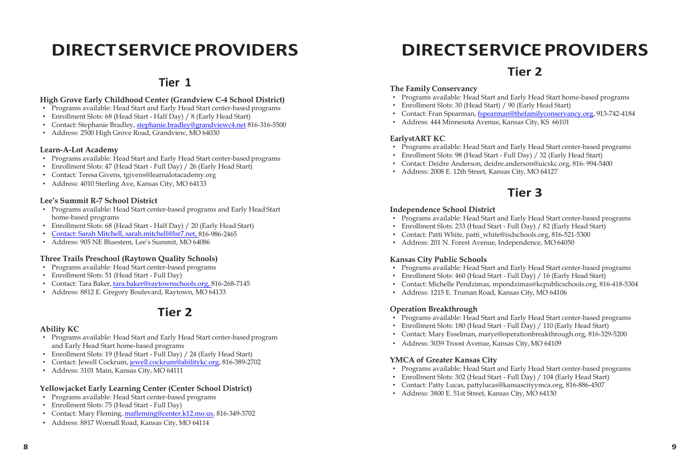#### **High Grove Early Childhood Center (Grandview C-4 School District)**

- Programs available: Head Start and Early Head Start center-based programs
- Enrollment Slots: 68 (Head Start Half Day) / 8 (Early Head Start)
- Contact: Stephanie Bradley, [stephanie.bradley@grandviewc4.net](mailto:stephanie.bradley@grandviewc4.net) 816-316-5500
- Address: 2500 High Grove Road, Grandview, MO 64030

#### **Learn-A-Lot Academy**

- Programs available: Head Start and Early Head Start center-based programs
- Enrollment Slots: 47 (Head Start Full Day) / 26 (Early Head Start)
- Contact: Teresa Givens, [tgivens@learnalotacademy.org](mailto:tgivens@learnalotacademy.org)
- Address: 4010 Sterling Ave, Kansas City, MO 64133

#### **Lee's Summit R-7 School District**

- Programs available: Head Start center-based programs and Early Head Start home-based programs
- Enrollment Slots: 68 (Head Start Half Day) / 20 (Early Head Start)
- [Contact: Sarah Mitchell, sarah.mitchell@lsr7.net, 8](mailto:Contact:%20Sarah%20Mitchell,%20sarah.mitchell@lsr7.net,)16-986-2465
- Address: 905 NE Bluestem, Lee's Summit, MO 64086

#### **Three Trails Preschool (Raytown Quality Schools)**

- Programs available: Head Start center-based programs
- Enrollment Slots: 51 (Head Start Full Day)
- Contact: Tara Baker[, tara.baker@raytownschools.org, 8](mailto:tara.baker@raytownschools.org,)16-268-7145
- Address: 8812 E. Gregory Boulevard, Raytown, MO 64133

#### **Tier 2**

#### **Ability KC**

- Programs available: Head Start and Early Head Start center-based program and Early Head Start home-based programs
- Enrollment Slots: 19 (Head Start Full Day) / 24 (Early Head Start)
- Contact: Jewell Cockrum[, jewell.cockrum@abilitykc.org,](mailto:jewell.cockrum@abilitykc.org) 816-389-2702
- Address: 3101 Main, Kansas City, MO 64111

#### **Yellowjacket Early Learning Center (Center School District)**

- Programs available: Head Start center-based programs
- Enrollment Slots: 75 (Head Start Full Day)
- Contact: Mary Fleming, [mafleming@center.k12.mo.us,](mailto:mafleming@center.k12.mo.us) 816-349-3702
- Address: 8817 Wornall Road, Kansas City, MO 64114

# **DIRECTSERVICEPROVIDERS DIRECTSERVICEPROVIDERS**

#### **Tier 2**

# **Tier 1** The Family Conservancy

- Programs available: Head Start and Early Head Start home-based programs
- Enrollment Slots: 30 (Head Start) / 90 (Early Head Start)
- Contact: Fran Spearman, [fspearman@thefamilyconservancy.org,](mailto:fspearman@thefamilyconservancy.org) 913-742-4184
- Address: 444 Minnesota Avenue, Kansas City, KS 66101

#### **EarlystART KC**

- Programs available: Head Start and Early Head Start center-based programs
- Enrollment Slots: 98 (Head Start Full Day) / 32 (Early Head Start)
- Contact: Deidre [Anderson, deidre.anderson@uicskc.org, 8](mailto:deidre.anderson@uicskc.org)16- 994-5400
- Address: 2008 E. 12th Street, Kansas City, MO 64127

#### **Tier 3**

#### **Independence School District**

- Programs available: Head Start and Early Head Start center-based programs
- Enrollment Slots: 233 (Head Start Full Day) / 82 (Early Head Start)
- Contact: Patti White, [patti\\_white@isdschools.org, 8](mailto:patti_white@isdschools.org)16-521-5300
- Address: 201 N. Forest Avenue, Independence, MO 64050

#### **Kansas City Public Schools**

- Programs available: Head Start and Early Head Start center-based programs
- Enrollment Slots: 460 (Head Start Full Day) / 16 (Early Head Start)
- Contact: Michelle Pendzimas, [mpendzimas@kcpublicschools.org, 8](mailto:mpendzimas@kcpublicschools.org)16-418-5304
- Address: 1215 E. Truman Road, Kansas City, MO 64106

#### **Operation Breakthrough**

- Programs available: Head Start and Early Head Start center-based programs
- Enrollment Slots: 180 (Head Start Full Day) / 110 (Early Head Start)
- [Contact: Mary Esselman, marye@operationbreakthrough.org, 8](mailto:marye@operationbreakthrough.org)16-329-5200
- Address: 3039 Troost Avenue, Kansas City, MO 64109

#### **YMCA of Greater Kansas City**

- Programs available: Head Start and Early Head Start center-based programs
- Enrollment Slots: 302 (Head Start Full Day) / 104 (Early Head Start)
- Contact: Patty Lucas, [pattylucas@kansascityymca.org, 8](mailto:pattylucas@kansascityymca.org)16-886-4507
- Address: 3800 E. 51st Street, Kansas City, MO 64130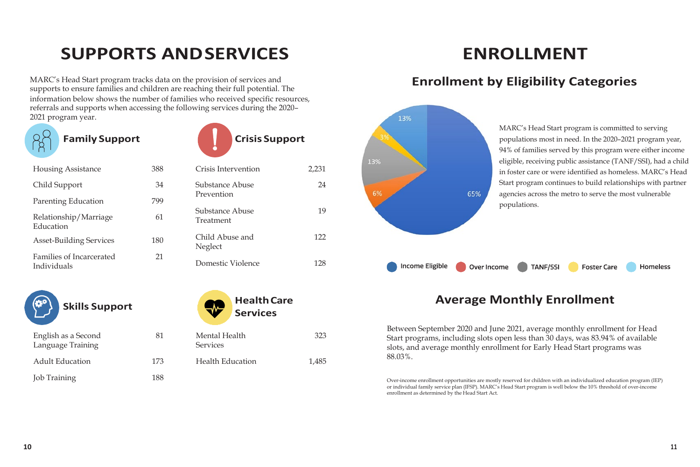# **SUPPORTS ANDSERVICES**

MARC's Head Start program tracks data on the provision of services and supports to ensure families and children are reaching their full potential. The information below shows the number of families who received specific resources, referrals and supports when accessing the following services during the 2020– 2021 program year.



**Family Support Crisis Support**



| 388 | Crisis Intervention          | 2,231      |
|-----|------------------------------|------------|
| 34  | Substance Abuse              | 24         |
| 799 |                              |            |
| 61  | Substance Abuse<br>Treatment | 19         |
| 180 | Child Abuse and<br>Neglect   | 122        |
| 21  | Domestic Violence            | 128        |
|     |                              | Prevention |

81



| English as a Second<br>Language Training | 81  |
|------------------------------------------|-----|
| <b>Adult Education</b>                   | 173 |
| <b>Job Training</b>                      | 188 |



Health Education 1.485

323



### **Enrollment by Eligibility Categories**



MARC's Head Start program is committed to serving populations most in need. In the 2020–2021 program year, 94% of families served by this program were either income eligible, receiving public assistance (TANF/SSI), had a child in foster care or were identified as homeless. MARC's Head Start program continues to build relationships with partner agencies across the metro to serve the most vulnerable

**Foster Care** 

#### **Average Monthly Enrollment**

Between September 2020 and June 2021, average monthly enrollment for Head Start programs, including slots open less than 30 days, was 83.94% of available slots, and average monthly enrollment for Early Head Start programs was 88.03%.

Over-income enrollment opportunities are mostly reserved for children with an individualized education program (IEP) or individual family service plan (IFSP). MARC's Head Start program is well below the 10% threshold of over-income enrollment as determined by the Head Start Act.

**Homeless**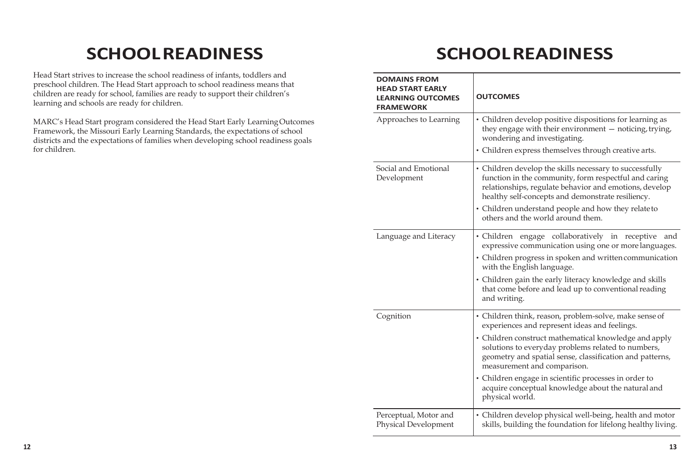# **SCHOOLREADINESS SCHOOLREADINESS**

Head Start strives to increase the school readiness of infants, toddlers and preschool children. The Head Start approach to school readiness means that children are ready for school, families are ready to support their children's learning and schools are ready for children.

MARC's Head Start program considered the Head Start Early LearningOutcomes Framework, the Missouri Early Learning Standards, the expectations of school districts and the expectations of families when developing school readiness goals for children.

| <b>DOMAINS FROM</b><br><b>HEAD START EARLY</b><br><b>LEARNING OUTCOMES</b><br><b>FRAMEWORK</b> | <b>OUTCOMES</b>                                                                                                                                                                                                                                                                                                                                                                                                                                     |
|------------------------------------------------------------------------------------------------|-----------------------------------------------------------------------------------------------------------------------------------------------------------------------------------------------------------------------------------------------------------------------------------------------------------------------------------------------------------------------------------------------------------------------------------------------------|
| Approaches to Learning                                                                         | • Children develop positive dispositions for learning as<br>they engage with their environment - noticing, trying,<br>wondering and investigating.<br>• Children express themselves through creative arts.                                                                                                                                                                                                                                          |
| Social and Emotional<br>Development                                                            | • Children develop the skills necessary to successfully<br>function in the community, form respectful and caring<br>relationships, regulate behavior and emotions, develop<br>healthy self-concepts and demonstrate resiliency.<br>• Children understand people and how they relate to<br>others and the world around them.                                                                                                                         |
| Language and Literacy                                                                          | · Children engage collaboratively in receptive<br>and<br>expressive communication using one or more languages.<br>• Children progress in spoken and written communication<br>with the English language.<br>• Children gain the early literacy knowledge and skills<br>that come before and lead up to conventional reading<br>and writing.                                                                                                          |
| Cognition                                                                                      | • Children think, reason, problem-solve, make sense of<br>experiences and represent ideas and feelings.<br>• Children construct mathematical knowledge and apply<br>solutions to everyday problems related to numbers,<br>geometry and spatial sense, classification and patterns,<br>measurement and comparison.<br>• Children engage in scientific processes in order to<br>acquire conceptual knowledge about the natural and<br>physical world. |
| Perceptual, Motor and<br><b>Physical Development</b>                                           | • Children develop physical well-being, health and motor<br>skills, building the foundation for lifelong healthy living.                                                                                                                                                                                                                                                                                                                            |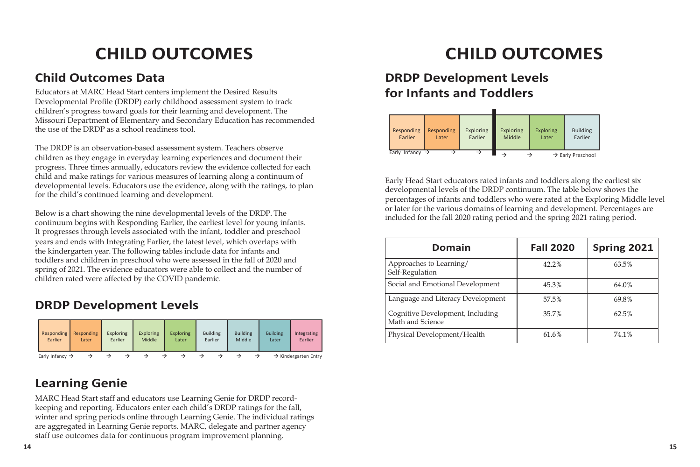### **Child Outcomes Data**

Educators at MARC Head Start centers implement the Desired Results Developmental Profile (DRDP) early childhood assessment system to track children's progress toward goals for their learning and development. The Missouri Department of Elementary and Secondary Education has recommended the use of the DRDP as a school readiness tool.

The DRDP is an observation-based assessment system. Teachers observe children as they engage in everyday learning experiences and document their progress. Three times annually, educators review the evidence collected for each child and make ratings for various measures of learning along a continuum of developmental levels. Educators use the evidence, along with the ratings, to plan for the child's continued learning and development.

Below is a chart showing the nine developmental levels of the DRDP. The continuum begins with Responding Earlier, the earliest level for young infants. It progresses through levels associated with the infant, toddler and preschool years and ends with Integrating Earlier, the latest level, which overlaps with the kindergarten year. The following tables include data for infants and toddlers and children in preschool who were assessed in the fall of 2020 and spring of 2021. The evidence educators were able to collect and the number of children rated were affected by the COVID pandemic.

### **DRDP Development Levels**

| Responding                  | Responding | <b>Exploring</b> | <b>Exploring</b> | <b>Exploring</b> | <b>Building</b> | <b>Building</b> | <b>Building</b> | Integrating                      |
|-----------------------------|------------|------------------|------------------|------------------|-----------------|-----------------|-----------------|----------------------------------|
| Earlier                     | Later      | Earlier          | Middle           | Later            | Earlier         | Middle          | Later           | Earlier                          |
| Early Infancy $\rightarrow$ |            |                  |                  |                  |                 |                 |                 | $\rightarrow$ Kindergarten Entry |

### **Learning Genie**

MARC Head Start staff and educators use Learning Genie for DRDP recordkeeping and reporting. Educators enter each child's DRDP ratings for the fall, winter and spring periods online through Learning Genie. The individual ratings are aggregated in Learning Genie reports. MARC, delegate and partner agency staff use outcomes data for continuous program improvement planning.

# **CHILD OUTCOMES CHILD OUTCOMES**

### **DRDP Development Levels for Infants and Toddlers**

| Responding                     | Responding | <b>Exploring</b> | <b>Exploring</b> | <b>Exploring</b> | <b>Building</b> |
|--------------------------------|------------|------------------|------------------|------------------|-----------------|
| Earlier                        | Later      | Earlier          | <b>Middle</b>    | Later            | Earlier         |
| Infancy $\rightarrow$<br>Early |            |                  |                  |                  |                 |

Early Head Start educators rated infants and toddlers along the earliest six developmental levels of the DRDP continuum. The table below shows the percentages of infants and toddlers who were rated at the Exploring Middle level or later for the various domains of learning and development. Percentages are included for the fall 2020 rating period and the spring 2021 rating period.

| Domain                                               | <b>Fall 2020</b> | <b>Spring 2021</b> |
|------------------------------------------------------|------------------|--------------------|
| Approaches to Learning/<br>Self-Regulation           | 42.2%            | 63.5%              |
| Social and Emotional Development                     | 45.3%            | 64.0%              |
| Language and Literacy Development                    | 57.5%            | 69.8%              |
| Cognitive Development, Including<br>Math and Science | 35.7%            | 62.5%              |
| Physical Development/Health                          | 61.6%            | 74.1%              |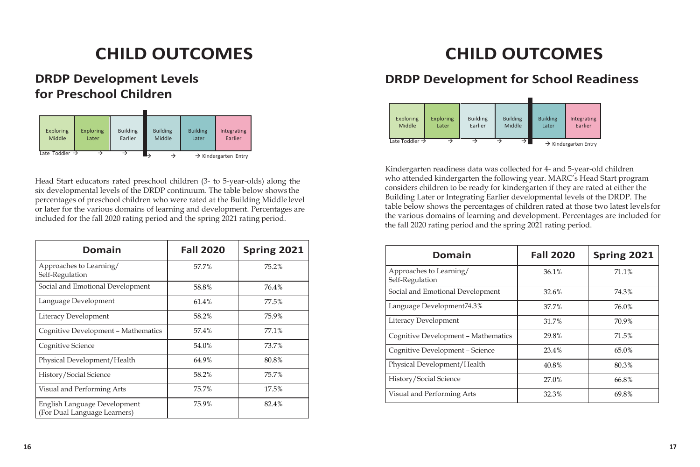# **CHILD OUTCOMES CHILD OUTCOMES**

### **DRDP Development Levels for Preschool Children**

| <b>Exploring</b>           | <b>Exploring</b> | <b>Building</b> | <b>Building</b> | <b>Building</b> | Integrating                      |
|----------------------------|------------------|-----------------|-----------------|-----------------|----------------------------------|
| Middle                     | Later            | Earlier         | Middle          | Later           | Earlier                          |
| Late Toddler $\rightarrow$ |                  |                 | ⊵               |                 | $\rightarrow$ Kindergarten Entry |

Head Start educators rated preschool children (3- to 5-year-olds) along the six developmental levels of the DRDP continuum. The table below shows the percentages of preschool children who were rated at the Building Middle level or later for the various domains of learning and development. Percentages are included for the fall 2020 rating period and the spring 2021 rating period.

| <b>Domain</b>                                                | <b>Fall 2020</b> | Spring 2021 |
|--------------------------------------------------------------|------------------|-------------|
| Approaches to Learning/<br>Self-Regulation                   | 57.7%            | 75.2%       |
| Social and Emotional Development                             | 58.8%            | 76.4%       |
| Language Development                                         | 61.4%            | 77.5%       |
| Literacy Development                                         | 58.2%            | 75.9%       |
| Cognitive Development - Mathematics                          | 57.4%            | 77.1%       |
| <b>Cognitive Science</b>                                     | 54.0%            | 73.7%       |
| Physical Development/Health                                  | 64.9%            | 80.8%       |
| History/Social Science                                       | 58.2%            | 75.7%       |
| Visual and Performing Arts                                   | 75.7%            | 17.5%       |
| English Language Development<br>(For Dual Language Learners) | 75.9%            | 82.4%       |

### **DRDP Development for School Readiness**

| <b>Exploring</b>           | <b>Exploring</b> | <b>Building</b> | <b>Building</b> | <b>Building</b> | Integrating                      |
|----------------------------|------------------|-----------------|-----------------|-----------------|----------------------------------|
| Middle                     | Later            | Earlier         | Middle          | Later           | Earlier                          |
| Late Toddler $\rightarrow$ |                  |                 | $\rightarrow$ 1 |                 | $\rightarrow$ Kindergarten Entry |

Kindergarten readiness data was collected for 4- and 5-year-old children who attended kindergarten the following year. MARC's Head Start program considers children to be ready for kindergarten if they are rated at either the Building Later or Integrating Earlier developmental levels of the DRDP. The table below shows the percentages of children rated at those two latest levels for the various domains of learning and development. Percentages are included for the fall 2020 rating period and the spring 2021 rating period.

| <b>Domain</b>                              | <b>Fall 2020</b> | Spring 2021 |
|--------------------------------------------|------------------|-------------|
| Approaches to Learning/<br>Self-Regulation | 36.1%            | 71.1%       |
| Social and Emotional Development           | 32.6%            | 74.3%       |
| Language Development74.3%                  | 37.7%            | 76.0%       |
| Literacy Development                       | 31.7%            | 70.9%       |
| Cognitive Development - Mathematics        | 29.8%            | 71.5%       |
| Cognitive Development - Science            | 23.4%            | 65.0%       |
| Physical Development/Health                | 40.8%            | 80.3%       |
| History/Social Science                     | 27.0%            | 66.8%       |
| Visual and Performing Arts                 | 32.3%            | 69.8%       |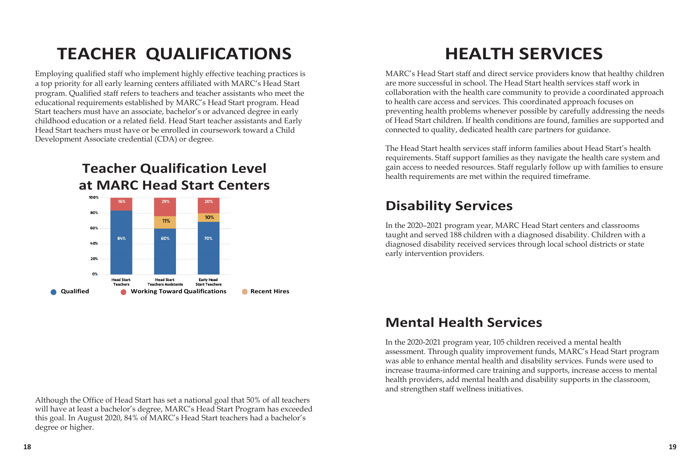# **TEACHER QUALIFICATIONS HEALTH SERVICES**

Employing qualified staff who implement highly effective teaching practices is a top priority for all early learning centers affiliated with MARC's Head Start program. Qualified staff refers to teachers and teacher assistants who meet the educational requirements established by MARC's Head Start program. Head Start teachers must have an associate, bachelor's or advanced degree in early childhood education or a related field. Head Start teacher assistants and Early Head Start teachers must have or be enrolled in coursework toward a Child Development Associate credential (CDA) or degree.



MARC's Head Start staff and direct service providers know that healthy children are more successful in school. The Head Start health services staff work in collaboration with the health care community to provide a coordinated approach to health care access and services. This coordinated approach focuses on preventing health problems whenever possible by carefully addressing the needs of Head Start children. If health conditions are found, families are supported and connected to quality, dedicated health care partners for guidance.

The Head Start health services staff inform families about Head Start's health requirements. Staff support families as they navigate the health care system and gain access to needed resources. Staff regularly follow up with families to ensure health requirements are met within the required timeframe.

### **Disability Services**

In the 2020–2021 program year, MARC Head Start centers and classrooms taught and served 188 children with a diagnosed disability. Children with a diagnosed disability received services through local school districts or state early intervention providers.

### **Mental Health Services**

In the 2020-2021 program year, 105 children received a mental health assessment. Through quality improvement funds, MARC's Head Start program was able to enhance mental health and disability services. Funds were used to increase trauma-informed care training and supports, increase access to mental health providers, add mental health and disability supports in the classroom, and strengthen staff wellness initiatives.

Although the Office of Head Start has set a national goal that 50% of all teachers will have at least a bachelor's degree, MARC's Head Start Program has exceeded this goal. In August 2020, 84% of MARC's Head Start teachers had a bachelor's degree or higher.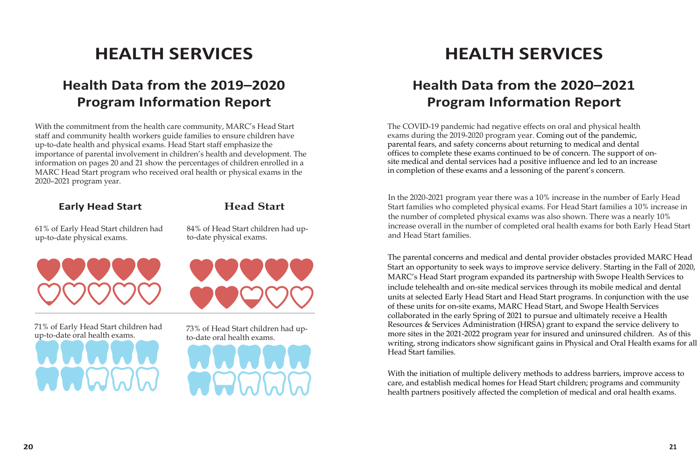# **Health Data from the 2019–2020 Program Information Report**

With the commitment from the health care community, MARC's Head Start staff and community health workers guide families to ensure children have up-to-date health and physical exams. Head Start staff emphasize the importance of parental involvement in children's health and development. The information on pages 20 and 21 show the percentages of children enrolled in a MARC Head Start program who received oral health or physical exams in the 2020–2021 program year.

**Early Head Start**

#### **Head Start**

61% of Early Head Start children had up-to-date physical exams.



71% of Early Head Start children had up-to-date oral health exams.

84% of Head Start children had upto-date physical exams.



73% of Head Start children had upto-date oral health exams.



# **HEALTH SERVICES HEALTH SERVICES**

## **Health Data from the 2020–2021 Program Information Report**

The COVID-19 pandemic had negative effects on oral and physical health exams during the 2019-2020 program year. Coming out of the pandemic, parental fears, and safety concerns about returning to medical and dental offices to complete these exams continued to be of concern. The support of onsite medical and dental services had a positive influence and led to an increase in completion of these exams and a lessoning of the parent's concern.

In the 2020-2021 program year there was a 10% increase in the number of Early Head Start families who completed physical exams. For Head Start families a 10% increase in the number of completed physical exams was also shown. There was a nearly 10% increase overall in the number of completed oral health exams for both Early Head Start and Head Start families.

The parental concerns and medical and dental provider obstacles provided MARC Head Start an opportunity to seek ways to improve service delivery. Starting in the Fall of 2020, MARC's Head Start program expanded its partnership with Swope Health Services to include telehealth and on-site medical services through its mobile medical and dental units at selected Early Head Start and Head Start programs. In conjunction with the use of these units for on-site exams, MARC Head Start, and Swope Health Services collaborated in the early Spring of 2021 to pursue and ultimately receive a Health Resources & Services Administration (HRSA) grant to expand the service delivery to more sites in the 2021-2022 program year for insured and uninsured children. As of this writing, strong indicators show significant gains in Physical and Oral Health exams for all Head Start families.

With the initiation of multiple delivery methods to address barriers, improve access to care, and establish medical homes for Head Start children; programs and community health partners positively affected the completion of medical and oral health exams.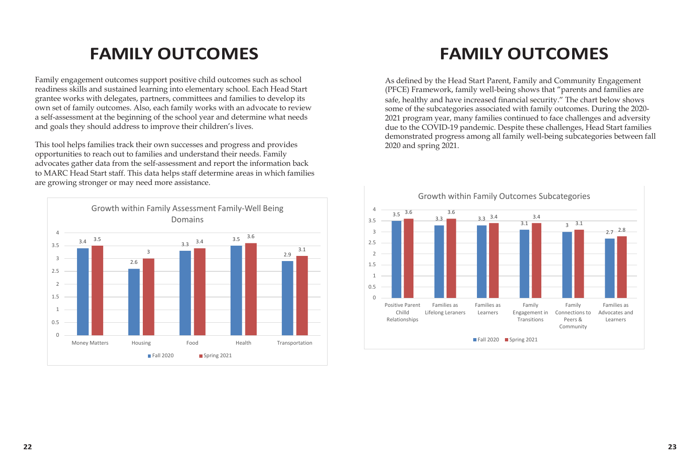# **FAMILY OUTCOMES FAMILY OUTCOMES**

Family engagement outcomes support positive child outcomes such as school readiness skills and sustained learning into elementary school. Each Head Start grantee works with delegates, partners, committees and families to develop its own set of family outcomes. Also, each family works with an advocate to review a self-assessment at the beginning of the school year and determine what needs and goals they should address to improve their children's lives.

This tool helps families track their own successes and progress and provides opportunities to reach out to families and understand their needs. Family advocates gather data from the self-assessment and report the information back to MARC Head Start staff. This data helps staff determine areas in which families are growing stronger or may need more assistance.



As defined by the Head Start Parent, Family and Community Engagement (PFCE) Framework, family well-being shows that "parents and families are safe, healthy and have increased financial security." The chart below shows some of the subcategories associated with family outcomes. During the 2020- 2021 program year, many families continued to face challenges and adversity due to the COVID-19 pandemic. Despite these challenges, Head Start families demonstrated progress among all family well-being subcategories between fall 2020 and spring 2021.

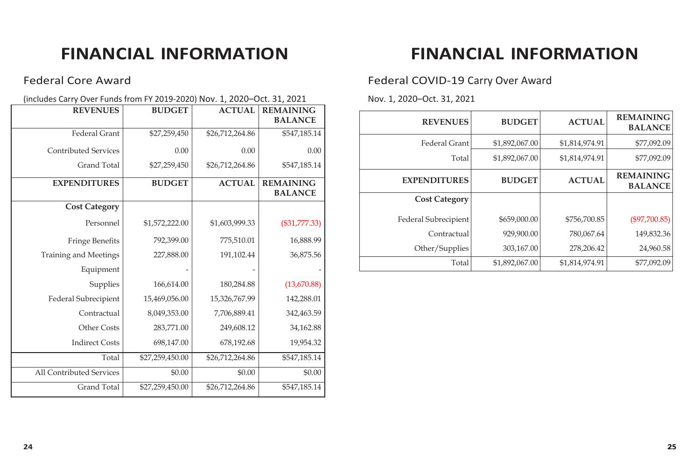#### Federal Core Award

(includes Carry Over Funds from FY 2019-2020) Nov. 1, 2020–Oct. 31, 2021

| <b>REVENUES</b>              | <b>BUDGET</b>   | <b>ACTUAL</b>   | <b>REMAINING</b> |
|------------------------------|-----------------|-----------------|------------------|
|                              |                 |                 | <b>BALANCE</b>   |
| <b>Federal Grant</b>         | \$27,259,450    | \$26,712,264.86 | \$547,185.14     |
| <b>Contributed Services</b>  | 0.00            | 0.00            | 0.00             |
| <b>Grand Total</b>           | \$27,259,450    | \$26,712,264.86 | \$547,185.14     |
| <b>EXPENDITURES</b>          | <b>BUDGET</b>   | <b>ACTUAL</b>   | <b>REMAINING</b> |
|                              |                 |                 | <b>BALANCE</b>   |
| <b>Cost Category</b>         |                 |                 |                  |
| Personnel                    | \$1,572,222.00  | \$1,603,999.33  | $(\$31,777.33)$  |
| <b>Fringe Benefits</b>       | 792,399.00      | 775,510.01      | 16,888.99        |
| <b>Training and Meetings</b> | 227,888.00      | 191,102.44      | 36,875.56        |
| Equipment                    |                 |                 |                  |
| Supplies                     | 166,614.00      | 180,284.88      | (13,670.88)      |
| Federal Subrecipient         | 15,469,056.00   | 15,326,767.99   | 142,288.01       |
| Contractual                  | 8,049,353.00    | 7,706,889.41    | 342,463.59       |
| <b>Other Costs</b>           | 283,771.00      | 249,608.12      | 34,162.88        |
| <b>Indirect Costs</b>        | 698,147.00      | 678,192.68      | 19,954.32        |
| Total                        | \$27,259,450.00 | \$26,712,264.86 | \$547,185.14     |
| All Contributed Services     | \$0.00          | \$0.00          | \$0.00           |
| <b>Grand Total</b>           | \$27,259,450.00 | \$26,712,264.86 | \$547,185.14     |

# **FINANCIAL INFORMATION FINANCIAL INFORMATION**

Federal COVID-19 Carry Over Award

Nov. 1, 2020–Oct. 31, 2021

| <b>BUDGET</b>  | <b>ACTUAL</b>                                                                                                                                              | <b>REMAINING</b><br><b>BALANCE</b> |
|----------------|------------------------------------------------------------------------------------------------------------------------------------------------------------|------------------------------------|
| \$1,892,067.00 | \$1,814,974.91                                                                                                                                             | \$77,092.09                        |
| \$1,892,067.00 | \$1,814,974.91                                                                                                                                             | \$77,092.09                        |
| <b>BUDGET</b>  | <b>ACTUAL</b>                                                                                                                                              | <b>REMAINING</b><br><b>BALANCE</b> |
|                |                                                                                                                                                            |                                    |
| \$659,000.00   | \$756,700.85                                                                                                                                               | $(\$97,700.85)$                    |
| 929,900.00     | 780,067.64                                                                                                                                                 | 149,832.36                         |
| 303,167.00     | 278,206.42                                                                                                                                                 | 24,960.58                          |
| \$1,892,067.00 | \$1,814,974.91                                                                                                                                             | \$77,092.09                        |
|                | <b>REVENUES</b><br>Federal Grant<br>Total<br><b>EXPENDITURES</b><br><b>Cost Category</b><br>Federal Subrecipient<br>Contractual<br>Other/Supplies<br>Total |                                    |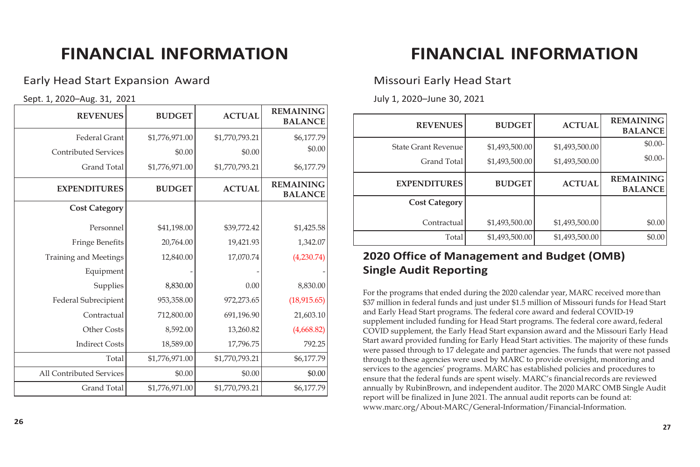#### Early Head Start Expansion Award

Sept. 1, 2020–Aug. 31, 2021

| <b>REVENUES</b>              | <b>BUDGET</b>  | <b>ACTUAL</b>  | <b>REMAINING</b><br><b>BALANCE</b> |
|------------------------------|----------------|----------------|------------------------------------|
| <b>Federal Grant</b>         | \$1,776,971.00 | \$1,770,793.21 | \$6,177.79                         |
| <b>Contributed Services</b>  | \$0.00         | \$0.00         | \$0.00                             |
| <b>Grand Total</b>           | \$1,776,971.00 | \$1,770,793.21 | \$6,177.79                         |
| <b>EXPENDITURES</b>          | <b>BUDGET</b>  | <b>ACTUAL</b>  | <b>REMAINING</b><br><b>BALANCE</b> |
| <b>Cost Category</b>         |                |                |                                    |
| Personnel                    | \$41,198.00    | \$39,772.42    | \$1,425.58                         |
| <b>Fringe Benefits</b>       | 20,764.00      | 19,421.93      | 1,342.07                           |
| <b>Training and Meetings</b> | 12,840.00      | 17,070.74      | (4,230.74)                         |
| Equipment                    |                |                |                                    |
| Supplies                     | 8,830.00       | 0.00           | 8,830.00                           |
| Federal Subrecipient         | 953,358.00     | 972,273.65     | (18,915.65)                        |
| Contractual                  | 712,800.00     | 691,196.90     | 21,603.10                          |
| <b>Other Costs</b>           | 8,592.00       | 13,260.82      | (4,668.82)                         |
| <b>Indirect Costs</b>        | 18,589.00      | 17,796.75      | 792.25                             |
| Total                        | \$1,776,971.00 | \$1,770,793.21 | \$6,177.79                         |
| All Contributed Services     | \$0.00         | \$0.00         | \$0.00                             |
| <b>Grand Total</b>           | \$1,776,971.00 | \$1,770,793.21 | \$6,177.79                         |

# **FINANCIAL INFORMATION FINANCIAL INFORMATION**

#### Missouri Early Head Start

July 1, 2020–June 30, 2021

| <b>REVENUES</b>            | <b>BUDGET</b>  | <b>ACTUAL</b>  | <b>REMAINING</b><br><b>BALANCE</b> |
|----------------------------|----------------|----------------|------------------------------------|
| <b>State Grant Revenue</b> | \$1,493,500.00 | \$1,493,500.00 | $$0.00-$                           |
| <b>Grand Total</b>         | \$1,493,500.00 | \$1,493,500.00 | $$0.00-$                           |
| <b>EXPENDITURES</b>        | <b>BUDGET</b>  | <b>ACTUAL</b>  | <b>REMAINING</b><br><b>BALANCE</b> |
| <b>Cost Category</b>       |                |                |                                    |
| Contractual                | \$1,493,500.00 | \$1,493,500.00 | \$0.00                             |
| Total                      | \$1,493,500.00 | \$1,493,500.00 | \$0.00                             |

### **2020 Office of Management and Budget (OMB) Single Audit Reporting**

For the programs that ended during the 2020 calendar year, MARC received more than \$37 million in federal funds and just under \$1.5 million of Missouri funds for Head Start and Early Head Start programs. The federal core award and federal COVID-19 supplement included funding for Head Start programs. The federal core award, federal COVID supplement, the Early Head Start expansion award and the Missouri Early Head Start award provided funding for Early Head Start activities. The majority of these funds were passed through to 17 delegate and partner agencies. The funds that were not passed through to these agencies were used by MARC to provide oversight, monitoring and services to the agencies' programs. MARC has established policies and procedures to ensure that the federal funds are spent wisely. MARC's financialrecords are reviewed annually by RubinBrown, and independent auditor. The 2020 MARC OMB Single Audit report will be finalized in June 2021. The annual audit reports can be found at: [www.marc.org/About-MARC/General-Information/Financial-Information.](http://www.marc.org/About-MARC/General-Information/Financial-Information)